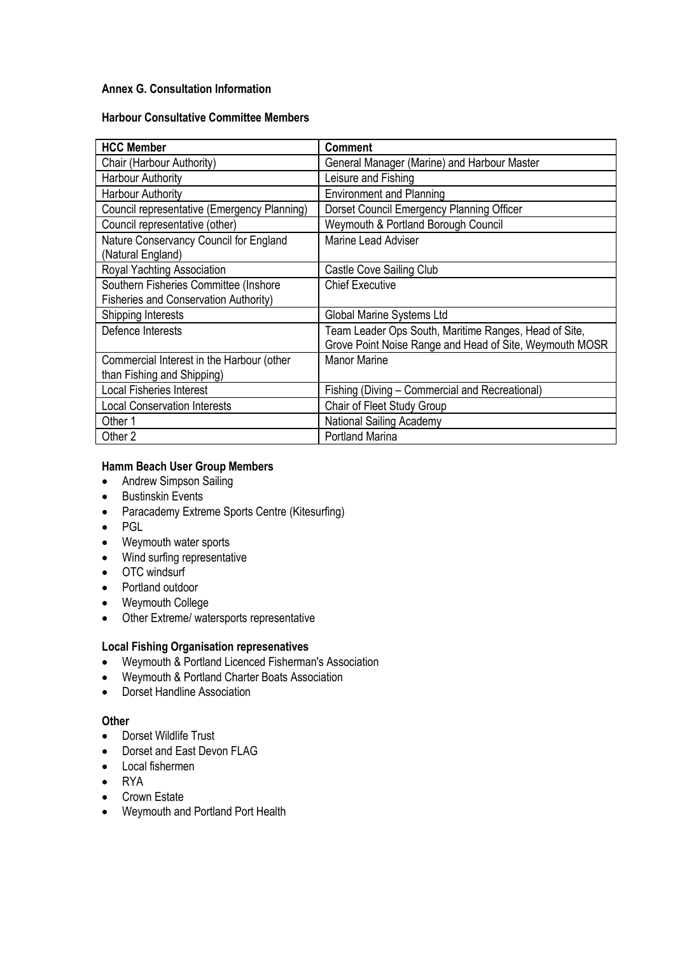## **Annex G. Consultation Information**

#### **Harbour Consultative Committee Members**

| <b>HCC Member</b>                           | <b>Comment</b>                                          |  |
|---------------------------------------------|---------------------------------------------------------|--|
| Chair (Harbour Authority)                   | General Manager (Marine) and Harbour Master             |  |
| <b>Harbour Authority</b>                    | Leisure and Fishing                                     |  |
| <b>Harbour Authority</b>                    | <b>Environment and Planning</b>                         |  |
| Council representative (Emergency Planning) | Dorset Council Emergency Planning Officer               |  |
| Council representative (other)              | Weymouth & Portland Borough Council                     |  |
| Nature Conservancy Council for England      | <b>Marine Lead Adviser</b>                              |  |
| (Natural England)                           |                                                         |  |
| Royal Yachting Association                  | Castle Cove Sailing Club                                |  |
| Southern Fisheries Committee (Inshore       | <b>Chief Executive</b>                                  |  |
| Fisheries and Conservation Authority)       |                                                         |  |
| Shipping Interests                          | Global Marine Systems Ltd                               |  |
| Defence Interests                           | Team Leader Ops South, Maritime Ranges, Head of Site,   |  |
|                                             | Grove Point Noise Range and Head of Site, Weymouth MOSR |  |
| Commercial Interest in the Harbour (other   | <b>Manor Marine</b>                                     |  |
| than Fishing and Shipping)                  |                                                         |  |
| <b>Local Fisheries Interest</b>             | Fishing (Diving - Commercial and Recreational)          |  |
| <b>Local Conservation Interests</b>         | Chair of Fleet Study Group                              |  |
| Other 1                                     | National Sailing Academy                                |  |
| Other 2                                     | <b>Portland Marina</b>                                  |  |

## **Hamm Beach User Group Members**

- Andrew Simpson Sailing
- Bustinskin Events
- Paracademy Extreme Sports Centre (Kitesurfing)
- PGL
- Weymouth water sports
- Wind surfing representative
- OTC windsurf
- Portland outdoor
- Weymouth College
- Other Extreme/ watersports representative

## **Local Fishing Organisation represenatives**

- Weymouth & Portland Licenced Fisherman's Association
- Weymouth & Portland Charter Boats Association
- Dorset Handline Association

## **Other**

- Dorset Wildlife Trust
- Dorset and East Devon FLAG
- Local fishermen
- RYA
- Crown Estate
- Weymouth and Portland Port Health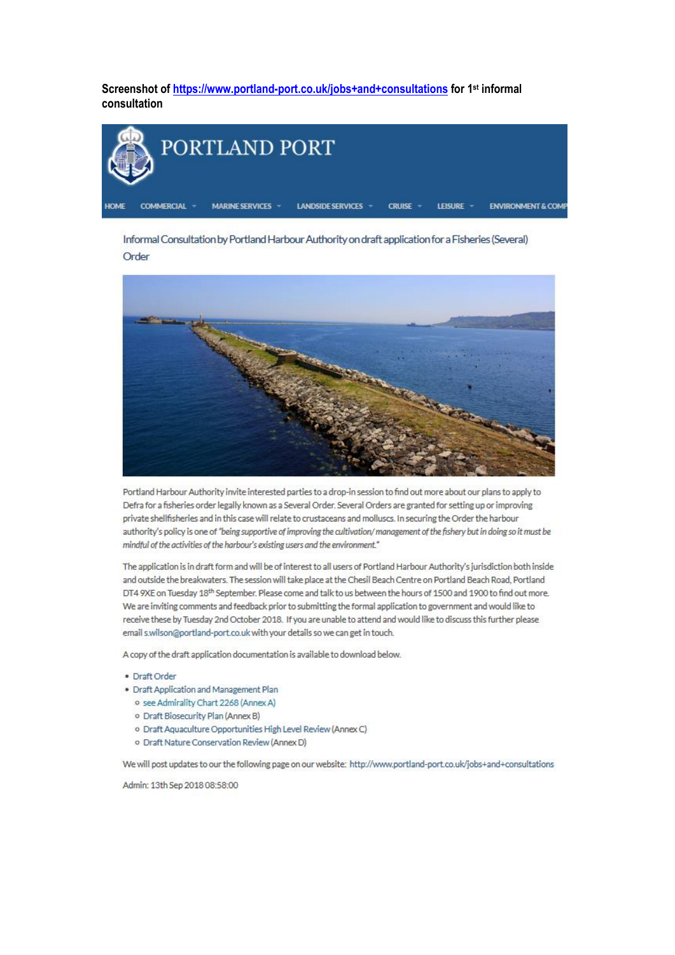Screenshot of https://www.portland-port.co.uk/jobs+and+consultations for 1<sup>st</sup> informal consultation



Informal Consultation by Portland Harbour Authority on draft application for a Fisheries (Several) Order



Portland Harbour Authority invite interested parties to a drop-in session to find out more about our plans to apply to Defra for a fisheries order legally known as a Several Order. Several Orders are granted for setting up or improving private shellfisheries and in this case will relate to crustaceans and molluscs. In securing the Order the harbour authority's policy is one of "being supportive of improving the cultivation/management of the fishery but in doing so it must be mindful of the activities of the harbour's existing users and the environment."

The application is in draft form and will be of interest to all users of Portland Harbour Authority's jurisdiction both inside and outside the breakwaters. The session will take place at the Chesil Beach Centre on Portland Beach Road, Portland DT4 9XE on Tuesday 18<sup>th</sup> September. Please come and talk to us between the hours of 1500 and 1900 to find out more. We are inviting comments and feedback prior to submitting the formal application to government and would like to receive these by Tuesday 2nd October 2018. If you are unable to attend and would like to discuss this further please email s.wilson@portland-port.co.uk with your details so we can get in touch.

A copy of the draft application documentation is available to download below.

- · Draft Order
- · Draft Application and Management Plan
	- o see Admirality Chart 2268 (Annex A)
	- · Draft Biosecurity Plan (Annex B)
	- o Draft Aquaculture Opportunities High Level Review (Annex C)
	- o Draft Nature Conservation Review (Annex D)

We will post updates to our the following page on our website: http://www.portland-port.co.uk/jobs+and+consultations

Admin: 13th Sep 2018 08:58:00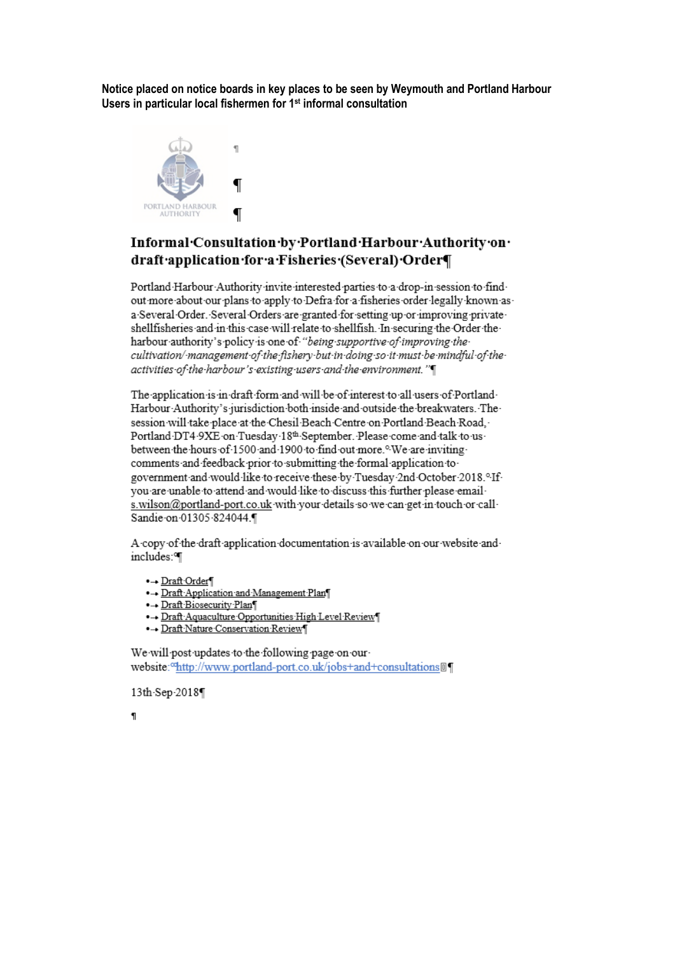Notice placed on notice boards in key places to be seen by Weymouth and Portland Harbour Users in particular local fishermen for 1<sup>st</sup> informal consultation



# Informal Consultation by Portland Harbour Authority on draft application for a Fisheries (Several) Order

Portland Harbour Authority invite interested parties to a drop-in session to findout more about our plans to apply to Defra for a fisheries order legally known asa Several Order. Several Orders are granted for setting up or improving privateshellfisheries and in this case will relate to shellfish. In securing the Order theharbour authority's policy is one of "being supportive of improving the cultivation/-management of the fishery-but-in-doing so it must be mindful of theactivities of the harbour's existing users and the environment."

The application is in draft form and will be of interest to all users of Portland Harbour Authority's jurisdiction both inside and outside the breakwaters. The session will take place at the Chesil Beach Centre on Portland Beach Road. Portland DT4 9XE on Tuesday 18th September. Please come and talk to usbetween the hours of 1500 and 1900 to find out more.<sup>o.</sup>We are inviting comments and feedback prior to submitting the formal application to government and would like to receive these by Tuesday 2nd October 2018.<sup>0</sup> If you are unable to attend and would like to discuss this further please emails.wilson@portland-port.co.uk with your details so we can get in touch or call Sandie on 01305 824044.

A copy of the draft application documentation is available on our website and includes: I

•→ Draft Order¶

- ·- Draft Application and Management Plan
- •- Draft Biosecurity Plan
- ·- Draft Aquaculture Opportunities High Level Review
- · Draft Nature Conservation Review

We will post updates to the following page on ourwebsite:"http://www.portland-port.co.uk/jobs+and+consultations@¶

13th Sep 2018

 $\overline{\mathbf{u}}$